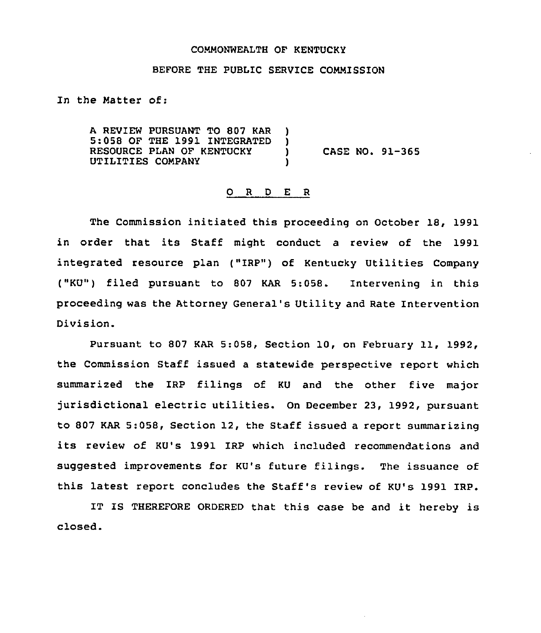## COMMONWEALTH OF KENTUCKY

## BEFORE THE PUBLIC SERVICE COMMISSION

In the Matter of:

A REVIEW PURSUANT TO 807 KAR )<br>5:058 OF THE 1991 INTEGRATED ) 5:058 OF THE 1991 INTEGRATED )<br>RESOURCE PLAN OF KENTUCKY RESOURCE PLAN OF KENTUCKY (CASE NO. 91-365<br>UTILITIES COMPANY (1) UTILITIES COMPANY )

## 0 <sup>R</sup> <sup>D</sup> E <sup>R</sup>

The Commission initiated this proceeding on October 18, 1991 in order that its Staff might conduct <sup>a</sup> review of the 1991 integrated resource plan ("IRP") of Kentucky Utilities Company ("KU") filed pursuant to 807 KAR 5:058. Intervening in this proceeding was the Attorney General's Utility and Rate Intervention Division.

Pursuant to <sup>807</sup> KAR 5:058, Section 10, on February ll, 1992, the Commission Staff issued a statewide perspective report which summarized the IRP filings of KU and the other five major jurisdictional electric utilities. On December 23, 1992, pursuant to 807 KAR 5:058, Section 12, the Staff issued a report summarizing its review of KU's 1991 IRP which included recommendations and suggested improvements for KU's future filings. The issuance of this latest report concludes the Staff's review of KU's 1991 IRP.

IT IS THEREFORE ORDERED that this case be and it hereby is closed.